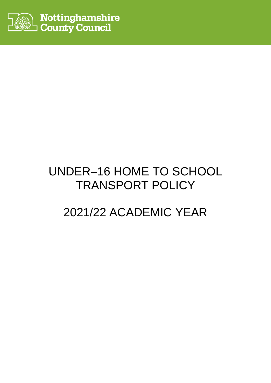

# UNDER–16 HOME TO SCHOOL TRANSPORT POLICY

# 2021/22 ACADEMIC YEAR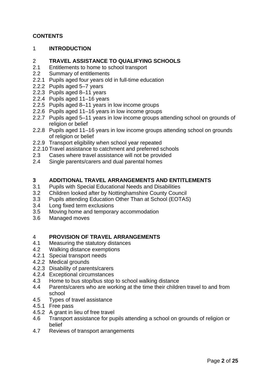#### **CONTENTS**

1 **INTRODUCTION**

## 2 **TRAVEL ASSISTANCE TO QUALIFYING SCHOOLS**

- Entitlements to home to school transport
- 2.2 Summary of entitlements
- 2.2.1 Pupils aged four years old in full-time education
- 2.2.2 Pupils aged 5–7 years
- 2.2.3 Pupils aged 8–11 years
- 2.2.4 Pupils aged 11–16 years
- 2.2.5 Pupils aged 8–11 years in low income groups
- 2.2.6 Pupils aged 11–16 years in low income groups
- 2.2.7 Pupils aged 5–11 years in low income groups attending school on grounds of religion or belief
- 2.2.8 Pupils aged 11–16 years in low income groups attending school on grounds of religion or belief
- 2.2.9 Transport eligibility when school year repeated
- 2.2.10 Travel assistance to catchment and preferred schools
- 2.3 Cases where travel assistance will not be provided
- 2.4 Single parents/carers and dual parental homes

#### **3 ADDITIONAL TRAVEL ARRANGEMENTS AND ENTITLEMENTS**

- 3.1 Pupils with Special Educational Needs and Disabilities
- 3.2 Children looked after by Nottinghamshire County Council
- 3.3 Pupils attending Education Other Than at School (EOTAS)
- 3.4 Long fixed term exclusions
- 3.5 Moving home and temporary accommodation
- 3.6 Managed moves

## 4 **PROVISION OF TRAVEL ARRANGEMENTS**<br>4.1 Measuring the statutory distances

- Measuring the statutory distances
- 4.2 Walking distance exemptions
- 4.2.1 Special transport needs
- 4.2.2 Medical grounds
- 4.2.3 Disability of parents/carers
- 4.2.4 Exceptional circumstances
- 4.3 Home to bus stop/bus stop to school walking distance
- 4.4 Parents/carers who are working at the time their children travel to and from school
- 4.5 Types of travel assistance
- 4.5.1 Free pass
- 4.5.2 A grant in lieu of free travel
- 4.6 Transport assistance for pupils attending a school on grounds of religion or belief
- 4.7 Reviews of transport arrangements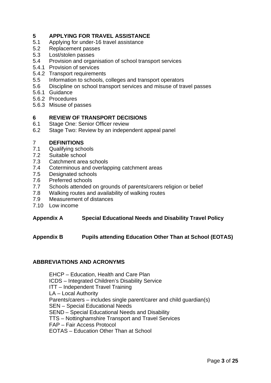## **5 APPLYING FOR TRAVEL ASSISTANCE**<br>5.1 Applying for under-16 travel assistance

- Applying for under-16 travel assistance
- 5.2 Replacement passes
- 5.3 Lost/stolen passes
- 5.4 Provision and organisation of school transport services
- 5.4.1 Provision of services
- 5.4.2 Transport requirements
- 5.5 Information to schools, colleges and transport operators
- 5.6 Discipline on school transport services and misuse of travel passes
- 5.6.1 Guidance
- 5.6.2 Procedures
- 5.6.3 Misuse of passes

## **6 REVIEW OF TRANSPORT DECISIONS**<br>6.1 Stage One: Senior Officer review

- Stage One: Senior Officer review
- 6.2 Stage Two: Review by an independent appeal panel

## 7 **DEFINITIONS**

- Qualifying schools
- 7.2 Suitable school
- 7.3 Catchment area schools
- 7.4 Coterminous and overlapping catchment areas
- 7.5 Designated schools
- 7.6 Preferred schools
- 7.7 Schools attended on grounds of parents/carers religion or belief
- 7.8 Walking routes and availability of walking routes
- 7.9 Measurement of distances
- 7.10 Low income

#### **Appendix A Special Educational Needs and Disability Travel Policy**

#### **Appendix B Pupils attending Education Other Than at School (EOTAS)**

#### **ABBREVIATIONS AND ACRONYMS**

EHCP – Education, Health and Care Plan ICDS – Integrated Children's Disability Service ITT – Independent Travel Training LA – Local Authority Parents/carers – includes single parent/carer and child guardian(s) SEN – Special Educational Needs SEND – Special Educational Needs and Disability TTS – Nottinghamshire Transport and Travel Services FAP – Fair Access Protocol EOTAS – Education Other Than at School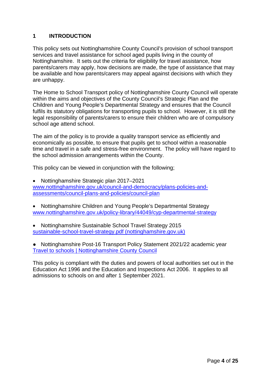#### **1 INTRODUCTION**

This policy sets out Nottinghamshire County Council's provision of school transport services and travel assistance for school aged pupils living in the county of Nottinghamshire. It sets out the criteria for eligibility for travel assistance, how parents/carers may apply, how decisions are made, the type of assistance that may be available and how parents/carers may appeal against decisions with which they are unhappy.

The Home to School Transport policy of Nottinghamshire County Council will operate within the aims and objectives of the County Council's Strategic Plan and the Children and Young People's Departmental Strategy and ensures that the Council fulfils its statutory obligations for transporting pupils to school. However, it is still the legal responsibility of parents/carers to ensure their children who are of compulsory school age attend school.

The aim of the policy is to provide a quality transport service as efficiently and economically as possible, to ensure that pupils get to school within a reasonable time and travel in a safe and stress-free environment. The policy will have regard to the school admission arrangements within the County.

This policy can be viewed in conjunction with the following;

- Nottinghamshire Strategic plan 2017–2021 [www.nottinghamshire.gov.uk/council-and-democracy/plans-policies-and](http://www.nottinghamshire.gov.uk/council-and-democracy/plans-policies-and-assessments/council-plans-and-policies/council-plan)[assessments/council-plans-and-policies/council-plan](http://www.nottinghamshire.gov.uk/council-and-democracy/plans-policies-and-assessments/council-plans-and-policies/council-plan)
- Nottinghamshire Children and Young People's Departmental Strategy [www.nottinghamshire.gov.uk/policy-library/44049/cyp-departmental-strategy](http://www.nottinghamshire.gov.uk/policy-library/44049/cyp-departmental-strategy)
- Nottinghamshire Sustainable School Travel Strategy 2015 [sustainable-school-travel-strategy.pdf \(nottinghamshire.gov.uk\)](https://www.nottinghamshire.gov.uk/media/1494917/sustainable-school-travel-strategy.pdf)

● Nottinghamshire Post-16 Transport Policy Statement 2021/22 academic year [Travel to schools | Nottinghamshire County Council](https://www.nottinghamshire.gov.uk/education/travel-to-schools)

This policy is compliant with the duties and powers of local authorities set out in the Education Act 1996 and the Education and Inspections Act 2006. It applies to all admissions to schools on and after 1 September 2021.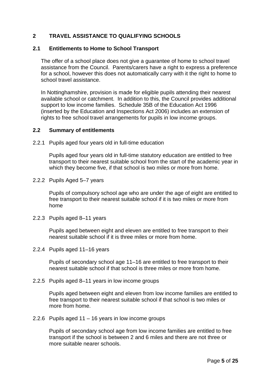#### **2 TRAVEL ASSISTANCE TO QUALIFYING SCHOOLS**

#### **2.1 Entitlements to Home to School Transport**

The offer of a school place does not give a guarantee of home to school travel assistance from the Council. Parents/carers have a right to express a preference for a school, however this does not automatically carry with it the right to home to school travel assistance.

In Nottinghamshire, provision is made for eligible pupils attending their nearest available school or catchment. In addition to this, the Council provides additional support to low income families. Schedule 35B of the Education Act 1996 (inserted by the Education and Inspections Act 2006) includes an extension of rights to free school travel arrangements for pupils in low income groups.

#### **2.2 Summary of entitlements**

2.2.1 Pupils aged four years old in full-time education

Pupils aged four years old in full-time statutory education are entitled to free transport to their nearest suitable school from the start of the academic year in which they become five, if that school is two miles or more from home.

2.2.2 Pupils Aged 5–7 years

Pupils of compulsory school age who are under the age of eight are entitled to free transport to their nearest suitable school if it is two miles or more from home

2.2.3 Pupils aged 8–11 years

Pupils aged between eight and eleven are entitled to free transport to their nearest suitable school if it is three miles or more from home.

2.2.4 Pupils aged 11–16 years

Pupils of secondary school age 11–16 are entitled to free transport to their nearest suitable school if that school is three miles or more from home.

2.2.5 Pupils aged 8–11 years in low income groups

Pupils aged between eight and eleven from low income families are entitled to free transport to their nearest suitable school if that school is two miles or more from home.

2.2.6 Pupils aged 11 – 16 years in low income groups

Pupils of secondary school age from low income families are entitled to free transport if the school is between 2 and 6 miles and there are not three or more suitable nearer schools.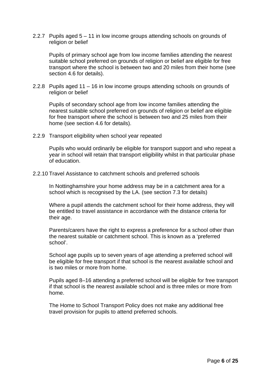2.2.7 Pupils aged 5 – 11 in low income groups attending schools on grounds of religion or belief

Pupils of primary school age from low income families attending the nearest suitable school preferred on grounds of religion or belief are eligible for free transport where the school is between two and 20 miles from their home (see section 4.6 for details).

2.2.8 Pupils aged 11 – 16 in low income groups attending schools on grounds of religion or belief

Pupils of secondary school age from low income families attending the nearest suitable school preferred on grounds of religion or belief are eligible for free transport where the school is between two and 25 miles from their home (see section 4.6 for details).

2.2.9 Transport eligibility when school year repeated

Pupils who would ordinarily be eligible for transport support and who repeat a year in school will retain that transport eligibility whilst in that particular phase of education.

2.2.10 Travel Assistance to catchment schools and preferred schools

In Nottinghamshire your home address may be in a catchment area for a school which is recognised by the LA. (see section 7.3 for details)

Where a pupil attends the catchment school for their home address, they will be entitled to travel assistance in accordance with the distance criteria for their age.

Parents/carers have the right to express a preference for a school other than the nearest suitable or catchment school. This is known as a 'preferred school'.

School age pupils up to seven years of age attending a preferred school will be eligible for free transport if that school is the nearest available school and is two miles or more from home.

Pupils aged 8–16 attending a preferred school will be eligible for free transport if that school is the nearest available school and is three miles or more from home.

The Home to School Transport Policy does not make any additional free travel provision for pupils to attend preferred schools.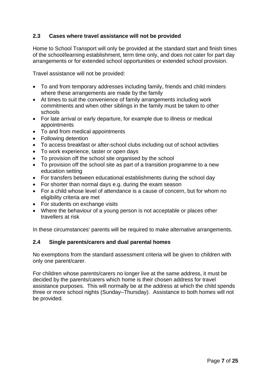#### **2.3 Cases where travel assistance will not be provided**

Home to School Transport will only be provided at the standard start and finish times of the school/learning establishment, term time only, and does not cater for part day arrangements or for extended school opportunities or extended school provision.

Travel assistance will not be provided:

- To and from temporary addresses including family, friends and child minders where these arrangements are made by the family
- At times to suit the convenience of family arrangements including work commitments and when other siblings in the family must be taken to other schools
- For late arrival or early departure, for example due to illness or medical appointments
- To and from medical appointments
- Following detention
- To access breakfast or after-school clubs including out of school activities
- To work experience, taster or open days
- To provision off the school site organised by the school
- To provision off the school site as part of a transition programme to a new education setting
- For transfers between educational establishments during the school day
- For shorter than normal days e.g. during the exam season
- For a child whose level of attendance is a cause of concern, but for whom no eligibility criteria are met
- For students on exchange visits
- Where the behaviour of a young person is not acceptable or places other travellers at risk

In these circumstances' parents will be required to make alternative arrangements.

#### **2.4 Single parents/carers and dual parental homes**

No exemptions from the standard assessment criteria will be given to children with only one parent/carer.

For children whose parents/carers no longer live at the same address, it must be decided by the parents/carers which home is their chosen address for travel assistance purposes. This will normally be at the address at which the child spends three or more school nights (Sunday–Thursday). Assistance to both homes will not be provided.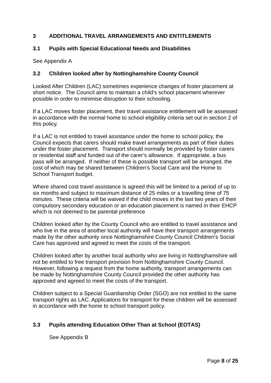#### **3 ADDITIONAL TRAVEL ARRANGEMENTS AND ENTITLEMENTS**

#### **3.1 Pupils with Special Educational Needs and Disabilities**

See Appendix A

#### **3.2 Children looked after by Nottinghamshire County Council**

Looked After Children (LAC) sometimes experience changes of foster placement at short notice. The Council aims to maintain a child's school placement wherever possible in order to minimise disruption to their schooling.

If a LAC moves foster placement, their travel assistance entitlement will be assessed in accordance with the normal home to school eligibility criteria set out in section 2 of this policy.

If a LAC is not entitled to travel assistance under the home to school policy, the Council expects that carers should make travel arrangements as part of their duties under the foster placement. Transport should normally be provided by foster carers or residential staff and funded out of the carer's allowance. If appropriate, a bus pass will be arranged. If neither of these is possible transport will be arranged, the cost of which may be shared between Children's Social Care and the Home to School Transport budget.

Where shared cost travel assistance is agreed this will be limited to a period of up to six months and subject to maximum distance of 25 miles or a travelling time of 75 minutes. These criteria will be waived if the child moves in the last two years of their compulsory secondary education or an education placement is named in their EHCP which is not deemed to be parental preference

Children looked after by the County Council who are entitled to travel assistance and who live in the area of another local authority will have their transport arrangements made by the other authority once Nottinghamshire County Council Children's Social Care has approved and agreed to meet the costs of the transport.

Children looked after by another local authority who are living in Nottinghamshire will not be entitled to free transport provision from Nottinghamshire County Council. However, following a request from the home authority, transport arrangements can be made by Nottinghamshire County Council provided the other authority has approved and agreed to meet the costs of the transport.

Children subject to a Special Guardianship Order (SGO) are not entitled to the same transport rights as LAC. Applications for transport for these children will be assessed in accordance with the home to school transport policy.

#### **3.3 Pupils attending Education Other Than at School (EOTAS)**

See Appendix B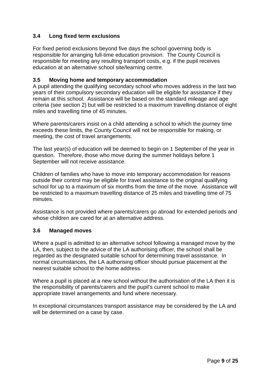#### **3.4 Long fixed term exclusions**

For fixed period exclusions beyond five days the school governing body is responsible for arranging full-time education provision. The County Council is responsible for meeting any resulting transport costs, e.g. if the pupil receives education at an alternative school site/learning centre.

#### **3.5 Moving home and temporary accommodation**

A pupil attending the qualifying secondary school who moves address in the last two years of their compulsory secondary education will be eligible for assistance if they remain at this school. Assistance will be based on the standard mileage and age criteria (see section 2) but will be restricted to a maximum travelling distance of eight miles and travelling time of 45 minutes.

Where parents/carers insist on a child attending a school to which the journey time exceeds these limits, the County Council will not be responsible for making, or meeting, the cost of travel arrangements.

The last year(s) of education will be deemed to begin on 1 September of the year in question. Therefore, those who move during the summer holidays before 1 September will not receive assistance.

Children of families who have to move into temporary accommodation for reasons outside their control may be eligible for travel assistance to the original qualifying school for up to a maximum of six months from the time of the move. Assistance will be restricted to a maximum travelling distance of 25 miles and travelling time of 75 minutes.

Assistance is not provided where parents/carers go abroad for extended periods and whose children are cared for at an alternative address.

#### **3.6 Managed moves**

Where a pupil is admitted to an alternative school following a managed move by the LA, then, subject to the advice of the LA authorising officer, the school shall be regarded as the designated suitable school for determining travel assistance. In normal circumstances, the LA authorising officer should pursue placement at the nearest suitable school to the home address.

Where a pupil is placed at a new school without the authorisation of the LA then it is the responsibility of parents/carers and the pupil's current school to make appropriate travel arrangements and fund where necessary.

In exceptional circumstances transport assistance may be considered by the LA and will be determined on a case by case.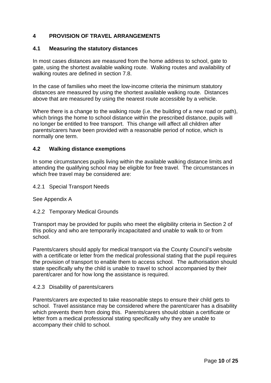#### **4 PROVISION OF TRAVEL ARRANGEMENTS**

#### **4.1 Measuring the statutory distances**

In most cases distances are measured from the home address to school, gate to gate, using the shortest available walking route. Walking routes and availability of walking routes are defined in section 7.8.

In the case of families who meet the low-income criteria the minimum statutory distances are measured by using the shortest available walking route. Distances above that are measured by using the nearest route accessible by a vehicle.

Where there is a change to the walking route (i.e. the building of a new road or path), which brings the home to school distance within the prescribed distance, pupils will no longer be entitled to free transport. This change will affect all children after parents/carers have been provided with a reasonable period of notice, which is normally one term.

#### **4.2 Walking distance exemptions**

In some circumstances pupils living within the available walking distance limits and attending the qualifying school may be eligible for free travel. The circumstances in which free travel may be considered are:

#### 4.2.1 Special Transport Needs

See Appendix A

#### 4.2.2 Temporary Medical Grounds

Transport may be provided for pupils who meet the eligibility criteria in Section 2 of this policy and who are temporarily incapacitated and unable to walk to or from school.

Parents/carers should apply for medical transport via the County Council's website with a certificate or letter from the medical professional stating that the pupil requires the provision of transport to enable them to access school. The authorisation should state specifically why the child is unable to travel to school accompanied by their parent/carer and for how long the assistance is required.

#### 4.2.3 Disability of parents/carers

Parents/carers are expected to take reasonable steps to ensure their child gets to school. Travel assistance may be considered where the parent/carer has a disability which prevents them from doing this. Parents/carers should obtain a certificate or letter from a medical professional stating specifically why they are unable to accompany their child to school.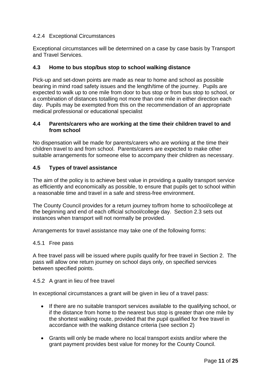#### 4.2.4 Exceptional Circumstances

Exceptional circumstances will be determined on a case by case basis by Transport and Travel Services.

#### **4.3 Home to bus stop/bus stop to school walking distance**

Pick-up and set-down points are made as near to home and school as possible bearing in mind road safety issues and the length/time of the journey. Pupils are expected to walk up to one mile from door to bus stop or from bus stop to school, or a combination of distances totalling not more than one mile in either direction each day. Pupils may be exempted from this on the recommendation of an appropriate medical professional or educational specialist

#### **4.4 Parents/carers who are working at the time their children travel to and from school**

No dispensation will be made for parents/carers who are working at the time their children travel to and from school. Parents/carers are expected to make other suitable arrangements for someone else to accompany their children as necessary.

#### **4.5 Types of travel assistance**

The aim of the policy is to achieve best value in providing a quality transport service as efficiently and economically as possible, to ensure that pupils get to school within a reasonable time and travel in a safe and stress-free environment.

The County Council provides for a return journey to/from home to school/college at the beginning and end of each official school/college day. Section 2.3 sets out instances when transport will not normally be provided.

Arrangements for travel assistance may take one of the following forms:

#### 4.5.1 Free pass

A free travel pass will be issued where pupils qualify for free travel in Section 2. The pass will allow one return journey on school days only, on specified services between specified points.

#### 4.5.2 A grant in lieu of free travel

In exceptional circumstances a grant will be given in lieu of a travel pass:

- If there are no suitable transport services available to the qualifying school, or if the distance from home to the nearest bus stop is greater than one mile by the shortest walking route, provided that the pupil qualified for free travel in accordance with the walking distance criteria (see section 2)
- Grants will only be made where no local transport exists and/or where the grant payment provides best value for money for the County Council.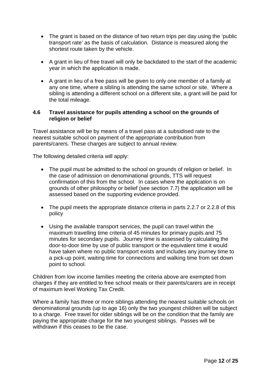- The grant is based on the distance of two return trips per day using the 'public transport rate' as the basis of calculation. Distance is measured along the shortest route taken by the vehicle.
- A grant in lieu of free travel will only be backdated to the start of the academic year in which the application is made.
- A grant in lieu of a free pass will be given to only one member of a family at any one time, where a sibling is attending the same school or site. Where a sibling is attending a different school on a different site, a grant will be paid for the total mileage.

#### **4.6 Travel assistance for pupils attending a school on the grounds of religion or belief**

Travel assistance will be by means of a travel pass at a subsidised rate to the nearest suitable school on payment of the appropriate contribution from parents/carers. These charges are subject to annual review.

The following detailed criteria will apply:

- The pupil must be admitted to the school on grounds of religion or belief. In the case of admission on denominational grounds, TTS will request confirmation of this from the school. In cases where the application is on grounds of other philosophy or belief (see section 7.7) the application will be assessed based on the supporting evidence provided.
- The pupil meets the appropriate distance criteria in parts 2.2.7 or 2.2.8 of this policy
- Using the available transport services, the pupil can travel within the maximum travelling time criteria of 45 minutes for primary pupils and 75 minutes for secondary pupils. Journey time is assessed by calculating the door-to-door time by use of public transport or the equivalent time it would have taken where no public transport exists and includes any journey time to a pick-up point, waiting time for connections and walking time from set down point to school.

Children from low income families meeting the criteria above are exempted from charges if they are entitled to free school meals or their parents/carers are in receipt of maximum level Working Tax Credit.

Where a family has three or more siblings attending the nearest suitable schools on denominational grounds (up to age 16) only the two youngest children will be subject to a charge. Free travel for older siblings will be on the condition that the family are paying the appropriate charge for the two youngest siblings. Passes will be withdrawn if this ceases to be the case.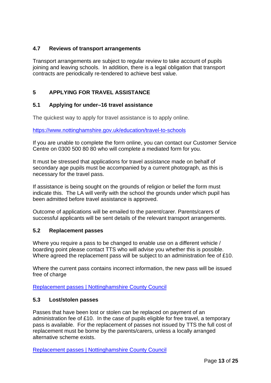#### **4.7 Reviews of transport arrangements**

Transport arrangements are subject to regular review to take account of pupils joining and leaving schools. In addition, there is a legal obligation that transport contracts are periodically re-tendered to achieve best value.

#### **5 APPLYING FOR TRAVEL ASSISTANCE**

#### **5.1 Applying for under–16 travel assistance**

The quickest way to apply for travel assistance is to apply online.

<https://www.nottinghamshire.gov.uk/education/travel-to-schools>

If you are unable to complete the form online, you can contact our Customer Service Centre on 0300 500 80 80 who will complete a mediated form for you.

It must be stressed that applications for travel assistance made on behalf of secondary age pupils must be accompanied by a current photograph, as this is necessary for the travel pass.

If assistance is being sought on the grounds of religion or belief the form must indicate this. The LA will verify with the school the grounds under which pupil has been admitted before travel assistance is approved.

Outcome of applications will be emailed to the parent/carer. Parents/carers of successful applicants will be sent details of the relevant transport arrangements.

#### **5.2 Replacement passes**

Where you require a pass to be changed to enable use on a different vehicle / boarding point please contact TTS who will advise you whether this is possible. Where agreed the replacement pass will be subject to an administration fee of £10.

Where the current pass contains incorrect information, the new pass will be issued free of charge

[Replacement passes | Nottinghamshire County Council](https://www.nottinghamshire.gov.uk/education/travel-to-schools/replacement-passes)

#### **5.3 Lost/stolen passes**

Passes that have been lost or stolen can be replaced on payment of an administration fee of £10. In the case of pupils eligible for free travel, a temporary pass is available. For the replacement of passes not issued by TTS the full cost of replacement must be borne by the parents/carers, unless a locally arranged alternative scheme exists.

[Replacement passes | Nottinghamshire County Council](https://www.nottinghamshire.gov.uk/education/travel-to-schools/replacement-passes)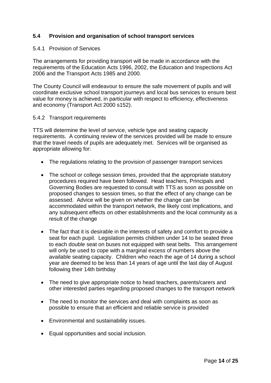#### **5.4 Provision and organisation of school transport services**

#### 5.4.1 Provision of Services

The arrangements for providing transport will be made in accordance with the requirements of the Education Acts 1996, 2002, the Education and Inspections Act 2006 and the Transport Acts 1985 and 2000.

The County Council will endeavour to ensure the safe movement of pupils and will coordinate exclusive school transport journeys and local bus services to ensure best value for money is achieved, in particular with respect to efficiency, effectiveness and economy (Transport Act 2000 s152).

#### 5.4.2 Transport requirements

TTS will determine the level of service, vehicle type and seating capacity requirements. A continuing review of the services provided will be made to ensure that the travel needs of pupils are adequately met. Services will be organised as appropriate allowing for:

- The regulations relating to the provision of passenger transport services
- The school or college session times, provided that the appropriate statutory procedures required have been followed. Head teachers, Principals and Governing Bodies are requested to consult with TTS as soon as possible on proposed changes to session times, so that the effect of any change can be assessed. Advice will be given on whether the change can be accommodated within the transport network, the likely cost implications, and any subsequent effects on other establishments and the local community as a result of the change
- The fact that it is desirable in the interests of safety and comfort to provide a seat for each pupil. Legislation permits children under 14 to be seated three to each double seat on buses not equipped with seat belts. This arrangement will only be used to cope with a marginal excess of numbers above the available seating capacity. Children who reach the age of 14 during a school year are deemed to be less than 14 years of age until the last day of August following their 14th birthday
- The need to give appropriate notice to head teachers, parents/carers and other interested parties regarding proposed changes to the transport network
- The need to monitor the services and deal with complaints as soon as possible to ensure that an efficient and reliable service is provided
- Environmental and sustainability issues.
- Equal opportunities and social inclusion.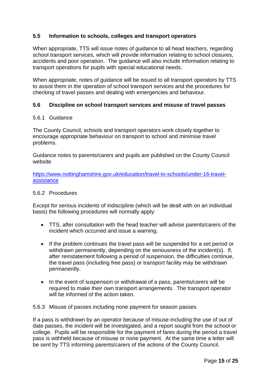#### **5.5 Information to schools, colleges and transport operators**

When appropriate, TTS will issue notes of guidance to all head teachers, regarding school transport services, which will provide information relating to school closures, accidents and poor operation. The guidance will also include information relating to transport operations for pupils with special educational needs.

When appropriate, notes of guidance will be issued to all transport operators by TTS to assist them in the operation of school transport services and the procedures for checking of travel passes and dealing with emergencies and behaviour.

#### **5.6 Discipline on school transport services and misuse of travel passes**

#### 5.6.1 Guidance

The County Council, schools and transport operators work closely together to encourage appropriate behaviour on transport to school and minimise travel problems.

Guidance notes to parents/carers and pupils are published on the County Council website

[https://www.nottinghamshire.gov.uk/education/travel-to-schools/under-16-travel](https://www.nottinghamshire.gov.uk/education/travel-to-schools/under-16-travel-assistance)[assistance](https://www.nottinghamshire.gov.uk/education/travel-to-schools/under-16-travel-assistance)

#### 5.6.2 Procedures

Except for serious incidents of indiscipline (which will be dealt with on an individual basis) the following procedures will normally apply:

- TTS, after consultation with the head teacher will advise parents/carers of the incident which occurred and issue a warning.
- If the problem continues the travel pass will be suspended for a set period or withdrawn permanently, depending on the seriousness of the incident(s). If, after reinstatement following a period of suspension, the difficulties continue, the travel pass (including free pass) or transport facility may be withdrawn permanently.
- In the event of suspension or withdrawal of a pass, parents/carers will be required to make their own transport arrangements. The transport operator will be informed of the action taken.

#### 5.6.3 Misuse of passes including none payment for season passes

If a pass is withdrawn by an operator because of misuse including the use of out of date passes, the incident will be investigated, and a report sought from the school or college. Pupils will be responsible for the payment of fares during the period a travel pass is withheld because of misuse or none payment. At the same time a letter will be sent by TTS informing parents/carers of the actions of the County Council.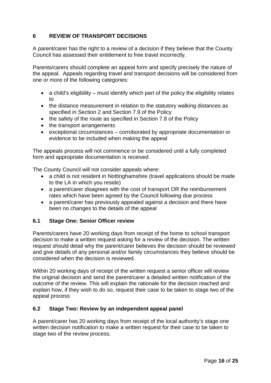#### **6 REVIEW OF TRANSPORT DECISIONS**

A parent/carer has the right to a review of a decision if they believe that the County Council has assessed their entitlement to free travel incorrectly.

Parents/carers should complete an appeal form and specify precisely the nature of the appeal. Appeals regarding travel and transport decisions will be considered from one or more of the following categories:

- a child's eligibility must identify which part of the policy the eligibility relates to
- the distance measurement in relation to the statutory walking distances as specified in Section 2 and Section 7.9 of the Policy
- the safety of the route as specified in Section 7.8 of the Policy
- the transport arrangements
- exceptional circumstances corroborated by appropriate documentation or evidence to be included when making the appeal

The appeals process will not commence or be considered until a fully completed form and appropriate documentation is received.

The County Council will not consider appeals where:

- a child is not resident in Nottinghamshire (travel applications should be made to the LA in which you reside)
- a parent/carer disagrees with the cost of transport OR the reimbursement rates which have been agreed by the Council following due process
- a parent/carer has previously appealed against a decision and there have been no changes to the details of the appeal

#### **6.1 Stage One: Senior Officer review**

Parents/carers have 20 working days from receipt of the home to school transport decision to make a written request asking for a review of the decision. The written request should detail why the parent/carer believes the decision should be reviewed and give details of any personal and/or family circumstances they believe should be considered when the decision is reviewed.

Within 20 working days of receipt of the written request a senior officer will review the original decision and send the parent/carer a detailed written notification of the outcome of the review. This will explain the rationale for the decision reached and explain how, if they wish to do so, request their case to be taken to stage two of the appeal process

#### **6.2 Stage Two: Review by an independent appeal panel**

A parent/carer has 20 working days from receipt of the local authority's stage one written decision notification to make a written request for their case to be taken to stage two of the review process.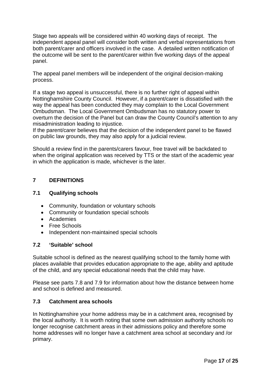Stage two appeals will be considered within 40 working days of receipt. The independent appeal panel will consider both written and verbal representations from both parent/carer and officers involved in the case. A detailed written notification of the outcome will be sent to the parent/carer within five working days of the appeal panel.

The appeal panel members will be independent of the original decision-making process.

If a stage two appeal is unsuccessful, there is no further right of appeal within Nottinghamshire County Council. However, if a parent/carer is dissatisfied with the way the appeal has been conducted they may complain to the Local Government Ombudsman. The Local Government Ombudsman has no statutory power to overturn the decision of the Panel but can draw the County Council's attention to any misadministration leading to injustice.

If the parent/carer believes that the decision of the independent panel to be flawed on public law grounds, they may also apply for a judicial review.

Should a review find in the parents/carers favour, free travel will be backdated to when the original application was received by TTS or the start of the academic year in which the application is made, whichever is the later.

#### **7 DEFINITIONS**

#### **7.1 Qualifying schools**

- Community, foundation or voluntary schools
- Community or foundation special schools
- Academies
- Free Schools
- Independent non-maintained special schools

#### **7.2 'Suitable' school**

Suitable school is defined as the nearest qualifying school to the family home with places available that provides education appropriate to the age, ability and aptitude of the child, and any special educational needs that the child may have.

Please see parts 7.8 and 7.9 for information about how the distance between home and school is defined and measured.

#### **7.3 Catchment area schools**

In Nottinghamshire your home address may be in a catchment area, recognised by the local authority. It is worth noting that some own admission authority schools no longer recognise catchment areas in their admissions policy and therefore some home addresses will no longer have a catchment area school at secondary and /or primary.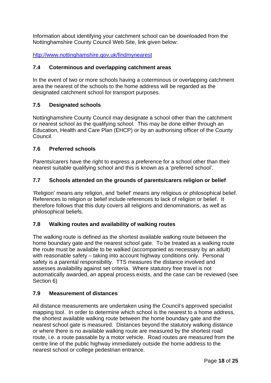Information about identifying your catchment school can be downloaded from the Nottinghamshire County Council Web Site, link given below:

<http://www.nottinghamshire.gov.uk/findmynearest>

#### **7.4 Coterminous and overlapping catchment areas**

In the event of two or more schools having a coterminous or overlapping catchment area the nearest of the schools to the home address will be regarded as the designated catchment school for transport purposes.

#### **7.5 Designated schools**

Nottinghamshire County Council may designate a school other than the catchment or nearest school as the qualifying school. This may be done either through an Education, Health and Care Plan (EHCP) or by an authorising officer of the County Council.

#### **7.6 Preferred schools**

Parents/carers have the right to express a preference for a school other than their nearest suitable qualifying school and this is known as a 'preferred school'.

#### **7.7 Schools attended on the grounds of parents/carers religion or belief**

'Religion' means any religion, and 'belief' means any religious or philosophical belief. References to religion or belief include references to lack of religion or belief. It therefore follows that this duty covers all religions and denominations, as well as philosophical beliefs.

#### **7.8 Walking routes and availability of walking routes**

The walking route is defined as the shortest available walking route between the home boundary gate and the nearest school gate. To be treated as a walking route the route must be available to be walked (accompanied as necessary by an adult) with reasonable safety – taking into account highway conditions only. Personal safety is a parental responsibility. TTS measures the distance involved and assesses availability against set criteria. Where statutory free travel is not automatically awarded, an appeal process exists, and the case can be reviewed (see Section 6)

#### **7.9 Measurement of distances**

All distance measurements are undertaken using the Council's approved specialist mapping tool. In order to determine which school is the nearest to a home address, the shortest available walking route between the home boundary gate and the nearest school gate is measured. Distances beyond the statutory walking distance or where there is no available walking route are measured by the shortest road route, i.e. a route passable by a motor vehicle. Road routes are measured from the centre line of the public highway immediately outside the home address to the nearest school or college pedestrian entrance.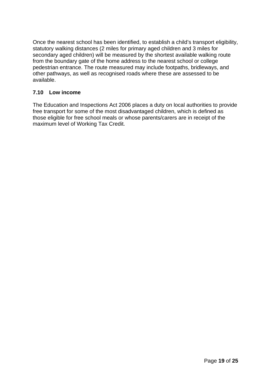Once the nearest school has been identified, to establish a child's transport eligibility, statutory walking distances (2 miles for primary aged children and 3 miles for secondary aged children) will be measured by the shortest available walking route from the boundary gate of the home address to the nearest school or college pedestrian entrance. The route measured may include footpaths, bridleways, and other pathways, as well as recognised roads where these are assessed to be available.

#### **7.10 Low income**

The Education and Inspections Act 2006 places a duty on local authorities to provide free transport for some of the most disadvantaged children, which is defined as those eligible for free school meals or whose parents/carers are in receipt of the maximum level of Working Tax Credit.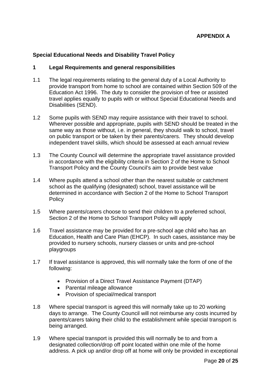#### **Special Educational Needs and Disability Travel Policy**

#### **1 Legal Requirements and general responsibilities**

- 1.1 The legal requirements relating to the general duty of a Local Authority to provide transport from home to school are contained within Section 509 of the Education Act 1996. The duty to consider the provision of free or assisted travel applies equally to pupils with or without Special Educational Needs and Disabilities (SEND).
- 1.2 Some pupils with SEND may require assistance with their travel to school. Wherever possible and appropriate, pupils with SEND should be treated in the same way as those without, i.e. in general, they should walk to school, travel on public transport or be taken by their parents/carers. They should develop independent travel skills, which should be assessed at each annual review
- 1.3 The County Council will determine the appropriate travel assistance provided in accordance with the eligibility criteria in Section 2 of the Home to School Transport Policy and the County Council's aim to provide best value
- 1.4 Where pupils attend a school other than the nearest suitable or catchment school as the qualifying (designated) school, travel assistance will be determined in accordance with Section 2 of the Home to School Transport **Policy**
- 1.5 Where parents/carers choose to send their children to a preferred school, Section 2 of the Home to School Transport Policy will apply
- 1.6 Travel assistance may be provided for a pre-school age child who has an Education, Health and Care Plan (EHCP). In such cases, assistance may be provided to nursery schools, nursery classes or units and pre-school playgroups
- 1.7 If travel assistance is approved, this will normally take the form of one of the following:
	- Provision of a Direct Travel Assistance Payment (DTAP)
	- Parental mileage allowance
	- Provision of special/medical transport
- 1.8 Where special transport is agreed this will normally take up to 20 working days to arrange. The County Council will not reimburse any costs incurred by parents/carers taking their child to the establishment while special transport is being arranged.
- 1.9 Where special transport is provided this will normally be to and from a designated collection/drop off point located within one mile of the home address. A pick up and/or drop off at home will only be provided in exceptional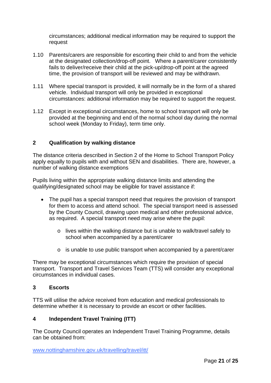circumstances; additional medical information may be required to support the request

- 1.10 Parents/carers are responsible for escorting their child to and from the vehicle at the designated collection/drop-off point. Where a parent/carer consistently fails to deliver/receive their child at the pick-up/drop-off point at the agreed time, the provision of transport will be reviewed and may be withdrawn.
- 1.11 Where special transport is provided, it will normally be in the form of a shared vehicle. Individual transport will only be provided in exceptional circumstances: additional information may be required to support the request.
- 1.12 Except in exceptional circumstances, home to school transport will only be provided at the beginning and end of the normal school day during the normal school week (Monday to Friday), term time only.

#### **2 Qualification by walking distance**

The distance criteria described in Section 2 of the Home to School Transport Policy apply equally to pupils with and without SEN and disabilities. There are, however, a number of walking distance exemptions

Pupils living within the appropriate walking distance limits and attending the qualifying/designated school may be eligible for travel assistance if:

- The pupil has a special transport need that requires the provision of transport for them to access and attend school. The special transport need is assessed by the County Council, drawing upon medical and other professional advice, as required. A special transport need may arise where the pupil:
	- o lives within the walking distance but is unable to walk/travel safely to school when accompanied by a parent/carer
	- o is unable to use public transport when accompanied by a parent/carer

There may be exceptional circumstances which require the provision of special transport. Transport and Travel Services Team (TTS) will consider any exceptional circumstances in individual cases.

#### **3 Escorts**

TTS will utilise the advice received from education and medical professionals to determine whether it is necessary to provide an escort or other facilities.

#### **4 Independent Travel Training (ITT)**

The County Council operates an Independent Travel Training Programme, details can be obtained from:

[www.nottinghamshire.gov.uk/travelling/travel/itt/](http://www.nottinghamshire.gov.uk/travelling/travel/itt/)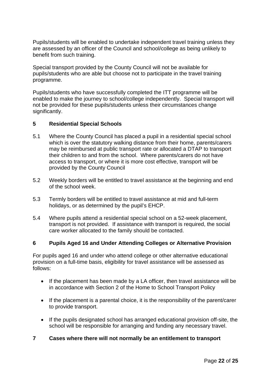Pupils/students will be enabled to undertake independent travel training unless they are assessed by an officer of the Council and school/college as being unlikely to benefit from such training.

Special transport provided by the County Council will not be available for pupils/students who are able but choose not to participate in the travel training programme.

Pupils/students who have successfully completed the ITT programme will be enabled to make the journey to school/college independently. Special transport will not be provided for these pupils/students unless their circumstances change significantly.

#### **5 Residential Special Schools**

- 5.1 Where the County Council has placed a pupil in a residential special school which is over the statutory walking distance from their home, parents/carers may be reimbursed at public transport rate or allocated a DTAP to transport their children to and from the school. Where parents/carers do not have access to transport, or where it is more cost effective, transport will be provided by the County Council
- 5.2 Weekly borders will be entitled to travel assistance at the beginning and end of the school week.
- 5.3 Termly borders will be entitled to travel assistance at mid and full-term holidays, or as determined by the pupil's EHCP.
- 5.4 Where pupils attend a residential special school on a 52-week placement, transport is not provided. If assistance with transport is required, the social care worker allocated to the family should be contacted.

#### **6 Pupils Aged 16 and Under Attending Colleges or Alternative Provision**

For pupils aged 16 and under who attend college or other alternative educational provision on a full-time basis, eligibility for travel assistance will be assessed as follows:

- If the placement has been made by a LA officer, then travel assistance will be in accordance with Section 2 of the Home to School Transport Policy
- If the placement is a parental choice, it is the responsibility of the parent/carer to provide transport.
- If the pupils designated school has arranged educational provision off-site, the school will be responsible for arranging and funding any necessary travel.

#### **7 Cases where there will not normally be an entitlement to transport**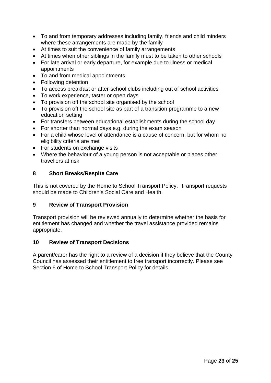- To and from temporary addresses including family, friends and child minders where these arrangements are made by the family
- At times to suit the convenience of family arrangements
- At times when other siblings in the family must to be taken to other schools
- For late arrival or early departure, for example due to illness or medical appointments
- To and from medical appointments
- Following detention
- To access breakfast or after-school clubs including out of school activities
- To work experience, taster or open days
- To provision off the school site organised by the school
- To provision off the school site as part of a transition programme to a new education setting
- For transfers between educational establishments during the school day
- For shorter than normal days e.g. during the exam season
- For a child whose level of attendance is a cause of concern, but for whom no eligibility criteria are met
- For students on exchange visits
- Where the behaviour of a young person is not acceptable or places other travellers at risk

#### **8 Short Breaks/Respite Care**

This is not covered by the Home to School Transport Policy. Transport requests should be made to Children's Social Care and Health.

#### **9 Review of Transport Provision**

Transport provision will be reviewed annually to determine whether the basis for entitlement has changed and whether the travel assistance provided remains appropriate.

#### **10 Review of Transport Decisions**

A parent/carer has the right to a review of a decision if they believe that the County Council has assessed their entitlement to free transport incorrectly. Please see Section 6 of Home to School Transport Policy for details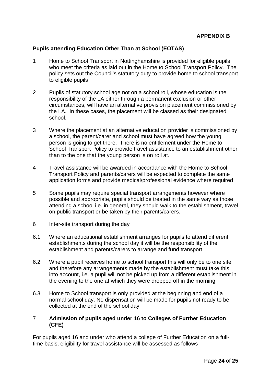#### **Pupils attending Education Other Than at School (EOTAS)**

- 1 Home to School Transport in Nottinghamshire is provided for eligible pupils who meet the criteria as laid out in the Home to School Transport Policy. The policy sets out the Council's statutory duty to provide home to school transport to eligible pupils
- 2 Pupils of statutory school age not on a school roll, whose education is the responsibility of the LA either through a permanent exclusion or other circumstances, will have an alternative provision placement commissioned by the LA. In these cases, the placement will be classed as their designated school.
- 3 Where the placement at an alternative education provider is commissioned by a school, the parent/carer and school must have agreed how the young person is going to get there. There is no entitlement under the Home to School Transport Policy to provide travel assistance to an establishment other than to the one that the young person is on roll at.
- 4 Travel assistance will be awarded in accordance with the Home to School Transport Policy and parents/carers will be expected to complete the same application forms and provide medical/professional evidence where required
- 5 Some pupils may require special transport arrangements however where possible and appropriate, pupils should be treated in the same way as those attending a school i.e. in general, they should walk to the establishment, travel on public transport or be taken by their parents/carers.
- 6 Inter-site transport during the day
- 6.1 Where an educational establishment arranges for pupils to attend different establishments during the school day it will be the responsibility of the establishment and parents/carers to arrange and fund transport
- 6.2 Where a pupil receives home to school transport this will only be to one site and therefore any arrangements made by the establishment must take this into account, i.e. a pupil will not be picked up from a different establishment in the evening to the one at which they were dropped off in the morning
- 6.3 Home to School transport is only provided at the beginning and end of a normal school day. No dispensation will be made for pupils not ready to be collected at the end of the school day

#### 7 **Admission of pupils aged under 16 to Colleges of Further Education (CFE)**

For pupils aged 16 and under who attend a college of Further Education on a fulltime basis, eligibility for travel assistance will be assessed as follows